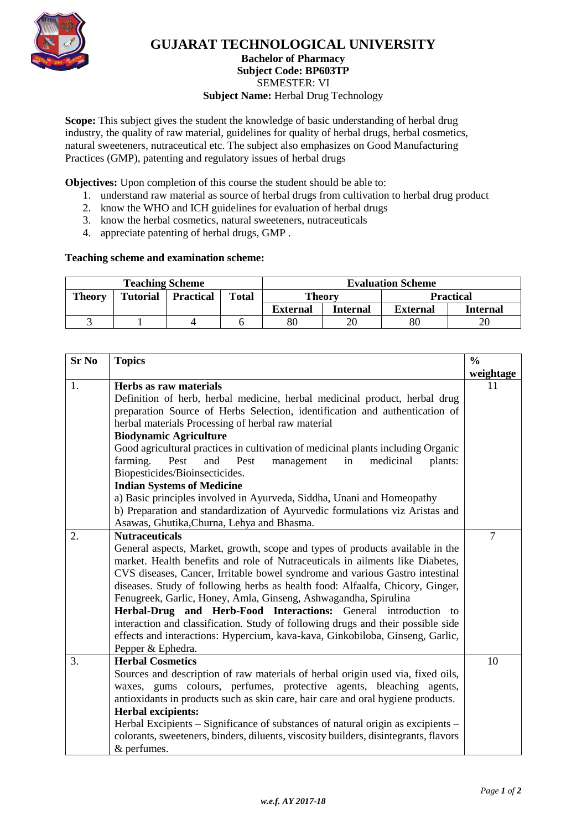

## **GUJARAT TECHNOLOGICAL UNIVERSITY**

## **Bachelor of Pharmacy Subject Code: [BP603TP](javascript:PopupCenter_upload()** SEMESTER: VI **Subject Name:** Herbal Drug Technology

**Scope:** This subject gives the student the knowledge of basic understanding of herbal drug industry, the quality of raw material, guidelines for quality of herbal drugs, herbal cosmetics, natural sweeteners, nutraceutical etc. The subject also emphasizes on Good Manufacturing Practices (GMP), patenting and regulatory issues of herbal drugs

**Objectives:** Upon completion of this course the student should be able to:

- 1. understand raw material as source of herbal drugs from cultivation to herbal drug product
- 2. know the WHO and ICH guidelines for evaluation of herbal drugs
- 3. know the herbal cosmetics, natural sweeteners, nutraceuticals
- 4. appreciate patenting of herbal drugs, GMP .

## **Teaching scheme and examination scheme:**

| <b>Teaching Scheme</b> |                 |                  |              | <b>Evaluation Scheme</b> |                 |                 |                  |
|------------------------|-----------------|------------------|--------------|--------------------------|-----------------|-----------------|------------------|
| <b>Theory</b>          | <b>Tutorial</b> | <b>Practical</b> | <b>Total</b> | Theory                   |                 |                 | <b>Practical</b> |
|                        |                 |                  |              | <b>External</b>          | <b>Internal</b> | <b>External</b> | Internal         |
|                        |                 |                  |              | $80\,$                   | 20              | 80              |                  |

| <b>Sr No</b> | <b>Topics</b>                                                                                                                                                                                                                                                                                           |           |  |  |  |
|--------------|---------------------------------------------------------------------------------------------------------------------------------------------------------------------------------------------------------------------------------------------------------------------------------------------------------|-----------|--|--|--|
|              |                                                                                                                                                                                                                                                                                                         | weightage |  |  |  |
| 1.           | Herbs as raw materials<br>Definition of herb, herbal medicine, herbal medicinal product, herbal drug                                                                                                                                                                                                    |           |  |  |  |
|              |                                                                                                                                                                                                                                                                                                         |           |  |  |  |
|              | preparation Source of Herbs Selection, identification and authentication of                                                                                                                                                                                                                             |           |  |  |  |
|              | herbal materials Processing of herbal raw material                                                                                                                                                                                                                                                      |           |  |  |  |
|              | <b>Biodynamic Agriculture</b>                                                                                                                                                                                                                                                                           |           |  |  |  |
|              | Good agricultural practices in cultivation of medicinal plants including Organic                                                                                                                                                                                                                        |           |  |  |  |
|              | farming.<br>Pest<br>in<br>and<br>Pest<br>management<br>medicinal<br>plants:                                                                                                                                                                                                                             |           |  |  |  |
|              | Biopesticides/Bioinsecticides.<br><b>Indian Systems of Medicine</b>                                                                                                                                                                                                                                     |           |  |  |  |
|              |                                                                                                                                                                                                                                                                                                         |           |  |  |  |
|              | a) Basic principles involved in Ayurveda, Siddha, Unani and Homeopathy                                                                                                                                                                                                                                  |           |  |  |  |
|              | b) Preparation and standardization of Ayurvedic formulations viz Aristas and                                                                                                                                                                                                                            |           |  |  |  |
|              | Asawas, Ghutika, Churna, Lehya and Bhasma.                                                                                                                                                                                                                                                              |           |  |  |  |
| 2.           | <b>Nutraceuticals</b>                                                                                                                                                                                                                                                                                   | 7         |  |  |  |
|              | General aspects, Market, growth, scope and types of products available in the                                                                                                                                                                                                                           |           |  |  |  |
|              | market. Health benefits and role of Nutraceuticals in ailments like Diabetes,                                                                                                                                                                                                                           |           |  |  |  |
|              | CVS diseases, Cancer, Irritable bowel syndrome and various Gastro intestinal                                                                                                                                                                                                                            |           |  |  |  |
|              | diseases. Study of following herbs as health food: Alfaalfa, Chicory, Ginger,<br>Fenugreek, Garlic, Honey, Amla, Ginseng, Ashwagandha, Spirulina<br>Herbal-Drug and Herb-Food Interactions: General introduction to<br>interaction and classification. Study of following drugs and their possible side |           |  |  |  |
|              |                                                                                                                                                                                                                                                                                                         |           |  |  |  |
|              |                                                                                                                                                                                                                                                                                                         |           |  |  |  |
|              |                                                                                                                                                                                                                                                                                                         |           |  |  |  |
|              | effects and interactions: Hypercium, kava-kava, Ginkobiloba, Ginseng, Garlic,                                                                                                                                                                                                                           |           |  |  |  |
|              | Pepper & Ephedra.                                                                                                                                                                                                                                                                                       |           |  |  |  |
| 3.           | <b>Herbal Cosmetics</b>                                                                                                                                                                                                                                                                                 | 10        |  |  |  |
|              | Sources and description of raw materials of herbal origin used via, fixed oils,                                                                                                                                                                                                                         |           |  |  |  |
|              | waxes, gums colours, perfumes, protective agents, bleaching agents,                                                                                                                                                                                                                                     |           |  |  |  |
|              | antioxidants in products such as skin care, hair care and oral hygiene products.                                                                                                                                                                                                                        |           |  |  |  |
|              | <b>Herbal excipients:</b><br>Herbal Excipients – Significance of substances of natural origin as excipients –                                                                                                                                                                                           |           |  |  |  |
|              |                                                                                                                                                                                                                                                                                                         |           |  |  |  |
|              | colorants, sweeteners, binders, diluents, viscosity builders, disintegrants, flavors                                                                                                                                                                                                                    |           |  |  |  |
|              | & perfumes.                                                                                                                                                                                                                                                                                             |           |  |  |  |